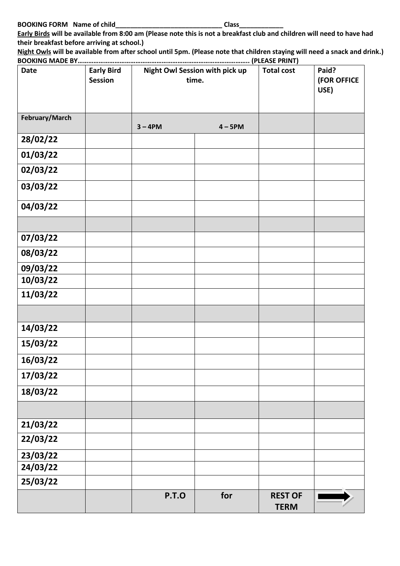**Early Birds will be available from 8:00 am (Please note this is not a breakfast club and children will need to have had their breakfast before arriving at school.)**

**Night Owls will be available from after school until 5pm. (Please note that children staying will need a snack and drink.) BOOKING MADE BY…………………………………………………………………………………….. (PLEASE PRINT)**

| <b>Date</b>    | <b>Early Bird</b><br><b>Session</b> | Night Owl Session with pick up<br>time. |           | <b>Total cost</b>             | Paid?<br>(FOR OFFICE<br>USE) |
|----------------|-------------------------------------|-----------------------------------------|-----------|-------------------------------|------------------------------|
| February/March |                                     | $3 - 4PM$                               | $4 - 5PM$ |                               |                              |
| 28/02/22       |                                     |                                         |           |                               |                              |
| 01/03/22       |                                     |                                         |           |                               |                              |
| 02/03/22       |                                     |                                         |           |                               |                              |
| 03/03/22       |                                     |                                         |           |                               |                              |
| 04/03/22       |                                     |                                         |           |                               |                              |
|                |                                     |                                         |           |                               |                              |
| 07/03/22       |                                     |                                         |           |                               |                              |
| 08/03/22       |                                     |                                         |           |                               |                              |
| 09/03/22       |                                     |                                         |           |                               |                              |
| 10/03/22       |                                     |                                         |           |                               |                              |
| 11/03/22       |                                     |                                         |           |                               |                              |
|                |                                     |                                         |           |                               |                              |
| 14/03/22       |                                     |                                         |           |                               |                              |
| 15/03/22       |                                     |                                         |           |                               |                              |
| 16/03/22       |                                     |                                         |           |                               |                              |
| 17/03/22       |                                     |                                         |           |                               |                              |
| 18/03/22       |                                     |                                         |           |                               |                              |
|                |                                     |                                         |           |                               |                              |
| 21/03/22       |                                     |                                         |           |                               |                              |
| 22/03/22       |                                     |                                         |           |                               |                              |
| 23/03/22       |                                     |                                         |           |                               |                              |
| 24/03/22       |                                     |                                         |           |                               |                              |
| 25/03/22       |                                     |                                         |           |                               |                              |
|                |                                     | <b>P.T.O</b>                            | for       | <b>REST OF</b><br><b>TERM</b> |                              |